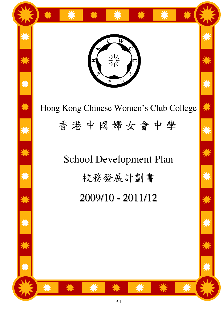



School Development Plan 校務發展計劃書 2009/10 - 2011/12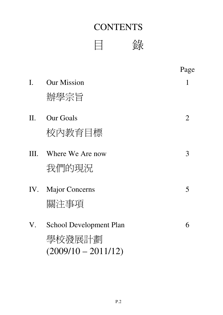# **CONTENTS**

目 錄

|     |                                                                   | Page |
|-----|-------------------------------------------------------------------|------|
| I.  | <b>Our Mission</b><br>辦學宗旨                                        | 1    |
| II. | Our Goals<br>校內教育目標                                               | 2    |
| Ш.  | Where We Are now<br>我們的現況                                         | 3    |
| IV. | <b>Major Concerns</b><br>關注事項                                     | 5    |
| V.  | <b>School Development Plan</b><br>學校發展計劃<br>$(2009/10 - 2011/12)$ | 6    |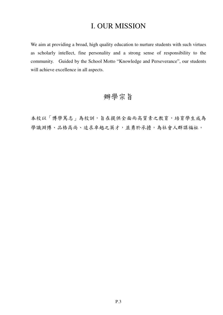## I. OUR MISSION

We aim at providing a broad, high quality education to nurture students with such virtues as scholarly intellect, fine personality and a strong sense of responsibility to the community. Guided by the School Motto "Knowledge and Perseverance", our students will achieve excellence in all aspects.

## 辦學宗旨

本校以「博學篤志」為校訓,旨在提供全面而高質素之教育,培育學生成為 學識淵博、品格高尚、追求卓越之英才,並勇於承擔,為社會人群謀福祉。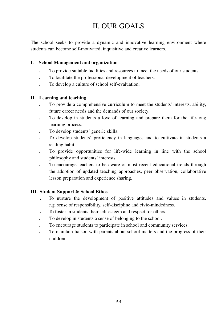## II. OUR GOALS

The school seeks to provide a dynamic and innovative learning environment where students can become self-motivated, inquisitive and creative learners.

#### **I. School Management and organization**

- **.** To provide suitable facilities and resources to meet the needs of our students.
- **.** To facilitate the professional development of teachers.
- **.** To develop a culture of school self-evaluation.

#### **II. Learning and teaching**

- **.** To provide a comprehensive curriculum to meet the students' interests, ability, future career needs and the demands of our society.
- **.** To develop in students a love of learning and prepare them for the life-long learning process.
- **.** To develop students' generic skills.
- **.** To develop students' proficiency in languages and to cultivate in students a reading habit.
- **.** To provide opportunities for life-wide learning in line with the school philosophy and students' interests.
- To encourage teachers to be aware of most recent educational trends through the adoption of updated teaching approaches, peer observation, collaborative lesson preparation and experience sharing.

#### **III. Student Support & School Ethos**

- **.** To nurture the development of positive attitudes and values in students, e.g. sense of responsibility, self-discipline and civic-mindedness.
- **.** To foster in students their self-esteem and respect for others.
- **.** To develop in students a sense of belonging to the school.
- **.** To encourage students to participate in school and community services.
- **.** To maintain liaison with parents about school matters and the progress of their children.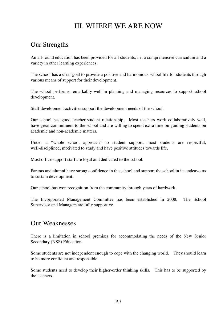## III. WHERE WE ARE NOW

## Our Strengths

An all-round education has been provided for all students, i.e. a comprehensive curriculum and a variety in other learning experiences.

The school has a clear goal to provide a positive and harmonious school life for students through various means of support for their development.

The school performs remarkably well in planning and managing resources to support school development.

Staff development activities support the development needs of the school.

Our school has good teacher-student relationship. Most teachers work collaboratively well, have great commitment to the school and are willing to spend extra time on guiding students on academic and non-academic matters.

Under a "whole school approach" to student support, most students are respectful, well-disciplined, motivated to study and have positive attitudes towards life.

Most office support staff are loyal and dedicated to the school.

Parents and alumni have strong confidence in the school and support the school in its endeavours to sustain development.

Our school has won recognition from the community through years of hardwork.

The Incorporated Management Committee has been established in 2008. The School Supervisor and Managers are fully supportive.

#### Our Weaknesses

There is a limitation in school premises for accommodating the needs of the New Senior Secondary (NSS) Education.

Some students are not independent enough to cope with the changing world. They should learn to be more confident and responsible.

Some students need to develop their higher-order thinking skills. This has to be supported by the teachers.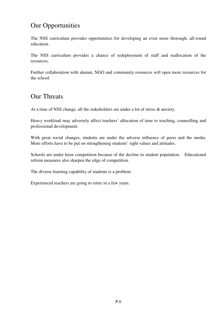## Our Opportunities

The NSS curriculum provides opportunities for developing an even more thorough, all-round education.

The NSS curriculum provides a chance of redeployment of staff and reallocation of the resources.

Further collaboration with alumni, NGO and community resources will open more resources for the school.

## Our Threats

At a time of NSS change, all the stakeholders are under a lot of stress & anxiety.

Heavy workload may adversely affect teachers' allocation of time to teaching, counselling and professional development.

With great social changes, students are under the adverse influence of peers and the media. More efforts have to be put on strengthening students' right values and attitudes.

Schools are under keen competition because of the decline in student population. Educational reform measures also sharpen the edge of competition.

The diverse learning capability of students is a problem.

Experienced teachers are going to retire in a few years.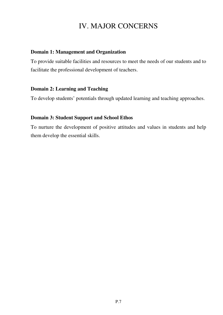## IV. MAJOR CONCERNS

#### **Domain 1: Management and Organization**

To provide suitable facilities and resources to meet the needs of our students and to facilitate the professional development of teachers.

#### **Domain 2: Learning and Teaching**

To develop students' potentials through updated learning and teaching approaches.

#### **Domain 3: Student Support and School Ethos**

To nurture the development of positive attitudes and values in students and help them develop the essential skills.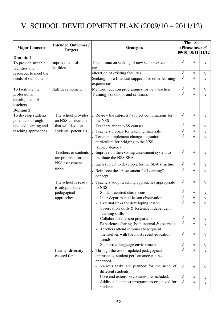## V. SCHOOL DEVELOPMENT PLAN (2009/10 – 2011/12)

|                       | <b>Intended Outcomes /</b><br><b>Targets</b> | <b>Strategies</b>                                                | <b>Time Scale</b><br>(Please insert $\forall$ ) |               |           |
|-----------------------|----------------------------------------------|------------------------------------------------------------------|-------------------------------------------------|---------------|-----------|
| <b>Major Concerns</b> |                                              |                                                                  |                                                 |               |           |
|                       |                                              |                                                                  |                                                 | $09/10$ 10/11 | 11/12     |
| Domain 1              |                                              |                                                                  |                                                 |               |           |
| To provide suitable   | Improvement of                               | To continue on seeking of new school extension,                  | $\sqrt{}$                                       | $\sqrt{}$     | V         |
| facilities and        | facilities                                   | etc.                                                             |                                                 |               |           |
| resources to meet the |                                              | alteration of existing facilities                                | $\sqrt{ }$                                      | $\sqrt{}$     | $\sqrt{}$ |
| needs of our students |                                              | Seeking more financial supports for other learning               | $\sqrt{}$                                       | $\sqrt{}$     | $\sqrt{}$ |
|                       |                                              | experiences                                                      |                                                 |               |           |
| To facilitate the     | Staff development                            | Mentor/induction programmes for new teachers                     | $\sqrt{}$                                       | $\sqrt{}$     | $\sqrt{}$ |
| professional          |                                              | Training workshops and seminars                                  | $\sqrt{}$                                       | $\sqrt{}$     | $\sqrt{}$ |
| development of        |                                              |                                                                  |                                                 |               |           |
| teachers.             |                                              |                                                                  |                                                 |               |           |
| Domain 2              |                                              |                                                                  |                                                 |               |           |
| To develop students'  | The school provides                          | . Review the subjects / subject combinations for                 | $\sqrt{}$                                       | $\sqrt{}$     | V         |
| potentials through    | an NSS curriculum                            | the NSS                                                          |                                                 |               |           |
| updated learning and  | that will develop                            | Teachers attend NSS courses                                      | V                                               | V             | V         |
| teaching approaches   | students' potentials                         | Teachers prepare for teaching materials                          | V                                               | V             | $\sqrt{}$ |
|                       |                                              | Teachers implement changes in junior                             | N                                               | $\sqrt{}$     | V         |
|                       |                                              | curriculum for bridging to the NSS                               |                                                 |               |           |
|                       |                                              | (subject-based)                                                  |                                                 |               |           |
|                       | Teachers & students                          | Improve on the existing assessment system to                     | $\sqrt{}$                                       | $\sqrt{}$     | $\sqrt{}$ |
|                       | are prepared for the                         | facilitate the NSS SBA                                           |                                                 |               |           |
|                       | NSS assessment                               | Each subject to develop a formal SBA structure                   | $\sqrt{}$                                       | V             | V         |
|                       | mode                                         |                                                                  |                                                 |               |           |
|                       |                                              | Reinforce the "Assessment for Learning"                          | $\sqrt{}$                                       | $\sqrt{}$     | V         |
|                       |                                              | concept                                                          |                                                 |               |           |
|                       | The school is ready                          | Teachers adopt teaching approaches appropriate                   | $\sqrt{}$                                       | $\sqrt{}$     | $\sqrt{}$ |
|                       | to adopt updated                             | to NSS                                                           |                                                 |               |           |
|                       | pedagogical                                  | Student-centred classrooms                                       | V                                               | V             | V         |
|                       | approaches                                   | Inter-departmental lesson observation                            | $\sqrt{}$                                       | $\sqrt{}$     | V         |
|                       |                                              | - External links for developing lesson                           | V                                               |               |           |
|                       |                                              | observation skills & fostering independent                       |                                                 |               |           |
|                       |                                              | learning skills                                                  |                                                 |               |           |
|                       |                                              | Collaborative lesson preparation                                 | $\sqrt{}$                                       | V             | V         |
|                       |                                              | Experience sharing (both internal $&$ external)                  | $\sqrt{}$                                       | $\sqrt{}$     |           |
|                       |                                              | Teachers attend seminars to acquaint<br>$\overline{\phantom{a}}$ |                                                 |               |           |
|                       |                                              | themselves with the most recent education                        | V                                               | V             | V         |
|                       |                                              | trends                                                           |                                                 |               |           |
|                       |                                              | Supportive language environment<br>$\overline{a}$                | $\sqrt{}$                                       | $\sqrt{}$     | V         |
|                       | Learner diversity is                         | Through the use of updated pedagogical                           | $\sqrt{}$                                       | $\sqrt{}$     | V         |
|                       | catered for                                  | approaches, student performance can be                           |                                                 |               |           |
|                       |                                              | enhanced.                                                        |                                                 |               |           |
|                       |                                              | Various tasks are planned for the need of                        | $\sqrt{ }$                                      | $\sqrt{}$     | V         |
|                       |                                              | different students.                                              |                                                 |               |           |
|                       |                                              | Core and extension contents are included.                        | $\sqrt{ }$                                      | V             | V         |
|                       |                                              | Additional support programmes organized for                      | $\sqrt{}$                                       | $\sqrt{}$     | V         |
|                       |                                              | students                                                         |                                                 |               |           |